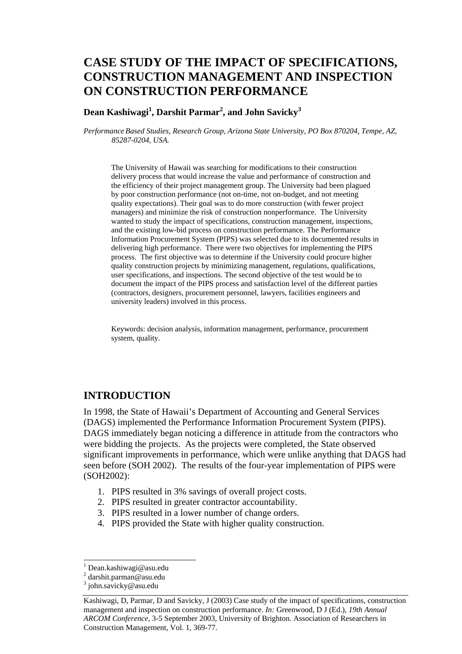# **CASE STUDY OF THE IMPACT OF SPECIFICATIONS, CONSTRUCTION MANAGEMENT AND INSPECTION ON CONSTRUCTION PERFORMANCE**

**Dean Kashiwagi<sup>1</sup> , Darshit Parmar2 , and John Savicky3**

*Performance Based Studies, Research Group, Arizona State University, PO Box 870204, Tempe, AZ, 85287-0204, USA.* 

The University of Hawaii was searching for modifications to their construction delivery process that would increase the value and performance of construction and the efficiency of their project management group. The University had been plagued by poor construction performance (not on-time, not on-budget, and not meeting quality expectations). Their goal was to do more construction (with fewer project managers) and minimize the risk of construction nonperformance. The University wanted to study the impact of specifications, construction management, inspections, and the existing low-bid process on construction performance. The Performance Information Procurement System (PIPS) was selected due to its documented results in delivering high performance. There were two objectives for implementing the PIPS process. The first objective was to determine if the University could procure higher quality construction projects by minimizing management, regulations, qualifications, user specifications, and inspections. The second objective of the test would be to document the impact of the PIPS process and satisfaction level of the different parties (contractors, designers, procurement personnel, lawyers, facilities engineers and university leaders) involved in this process.

Keywords: decision analysis, information management, performance, procurement system, quality.

## **INTRODUCTION**

In 1998, the State of Hawaii's Department of Accounting and General Services (DAGS) implemented the Performance Information Procurement System (PIPS). DAGS immediately began noticing a difference in attitude from the contractors who were bidding the projects. As the projects were completed, the State observed significant improvements in performance, which were unlike anything that DAGS had seen before (SOH 2002). The results of the four-year implementation of PIPS were (SOH2002):

- 1. PIPS resulted in 3% savings of overall project costs.
- 2. PIPS resulted in greater contractor accountability.
- 3. PIPS resulted in a lower number of change orders.
- 4. PIPS provided the State with higher quality construction.

l

<sup>1</sup> Dean.kashiwagi@asu.edu

<sup>2</sup> darshit.parman@asu.edu

<sup>&</sup>lt;sup>3</sup> john.savicky@asu.edu

Kashiwagi, D, Parmar, D and Savicky, J (2003) Case study of the impact of specifications, construction management and inspection on construction performance. *In:* Greenwood, D J (Ed.), *19th Annual ARCOM Conference*, 3-5 September 2003, University of Brighton. Association of Researchers in Construction Management, Vol. 1, 369-77.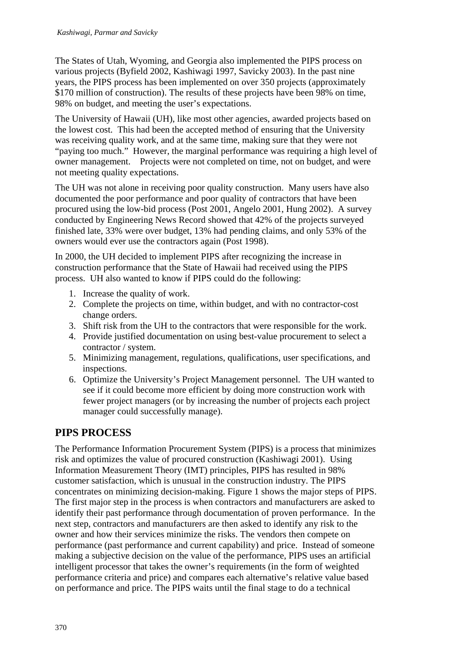The States of Utah, Wyoming, and Georgia also implemented the PIPS process on various projects (Byfield 2002, Kashiwagi 1997, Savicky 2003). In the past nine years, the PIPS process has been implemented on over 350 projects (approximately \$170 million of construction). The results of these projects have been 98% on time, 98% on budget, and meeting the user's expectations.

The University of Hawaii (UH), like most other agencies, awarded projects based on the lowest cost. This had been the accepted method of ensuring that the University was receiving quality work, and at the same time, making sure that they were not "paying too much." However, the marginal performance was requiring a high level of owner management. Projects were not completed on time, not on budget, and were not meeting quality expectations.

The UH was not alone in receiving poor quality construction. Many users have also documented the poor performance and poor quality of contractors that have been procured using the low-bid process (Post 2001, Angelo 2001, Hung 2002). A survey conducted by Engineering News Record showed that 42% of the projects surveyed finished late, 33% were over budget, 13% had pending claims, and only 53% of the owners would ever use the contractors again (Post 1998).

In 2000, the UH decided to implement PIPS after recognizing the increase in construction performance that the State of Hawaii had received using the PIPS process. UH also wanted to know if PIPS could do the following:

- 1. Increase the quality of work.
- 2. Complete the projects on time, within budget, and with no contractor-cost change orders.
- 3. Shift risk from the UH to the contractors that were responsible for the work.
- 4. Provide justified documentation on using best-value procurement to select a contractor / system.
- 5. Minimizing management, regulations, qualifications, user specifications, and inspections.
- 6. Optimize the University's Project Management personnel. The UH wanted to see if it could become more efficient by doing more construction work with fewer project managers (or by increasing the number of projects each project manager could successfully manage).

## **PIPS PROCESS**

The Performance Information Procurement System (PIPS) is a process that minimizes risk and optimizes the value of procured construction (Kashiwagi 2001). Using Information Measurement Theory (IMT) principles, PIPS has resulted in 98% customer satisfaction, which is unusual in the construction industry. The PIPS concentrates on minimizing decision-making. Figure 1 shows the major steps of PIPS. The first major step in the process is when contractors and manufacturers are asked to identify their past performance through documentation of proven performance. In the next step, contractors and manufacturers are then asked to identify any risk to the owner and how their services minimize the risks. The vendors then compete on performance (past performance and current capability) and price. Instead of someone making a subjective decision on the value of the performance, PIPS uses an artificial intelligent processor that takes the owner's requirements (in the form of weighted performance criteria and price) and compares each alternative's relative value based on performance and price. The PIPS waits until the final stage to do a technical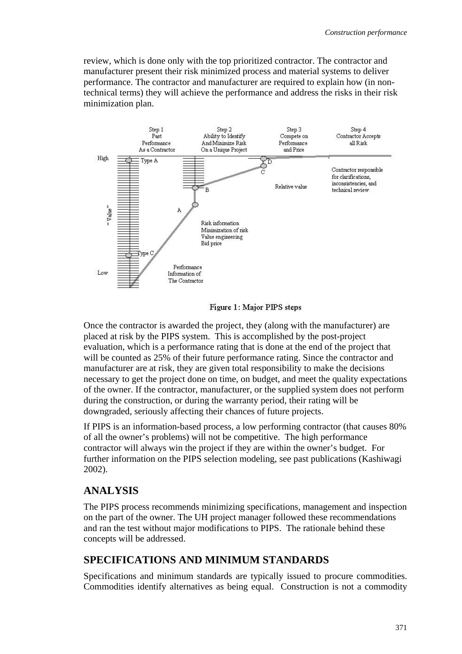review, which is done only with the top prioritized contractor. The contractor and manufacturer present their risk minimized process and material systems to deliver performance. The contractor and manufacturer are required to explain how (in nontechnical terms) they will achieve the performance and address the risks in their risk minimization plan.



Figure 1: Major PIPS steps

Once the contractor is awarded the project, they (along with the manufacturer) are placed at risk by the PIPS system. This is accomplished by the post-project evaluation, which is a performance rating that is done at the end of the project that will be counted as 25% of their future performance rating. Since the contractor and manufacturer are at risk, they are given total responsibility to make the decisions necessary to get the project done on time, on budget, and meet the quality expectations of the owner. If the contractor, manufacturer, or the supplied system does not perform during the construction, or during the warranty period, their rating will be downgraded, seriously affecting their chances of future projects.

If PIPS is an information-based process, a low performing contractor (that causes 80% of all the owner's problems) will not be competitive. The high performance contractor will always win the project if they are within the owner's budget. For further information on the PIPS selection modeling, see past publications (Kashiwagi 2002).

## **ANALYSIS**

The PIPS process recommends minimizing specifications, management and inspection on the part of the owner. The UH project manager followed these recommendations and ran the test without major modifications to PIPS. The rationale behind these concepts will be addressed.

## **SPECIFICATIONS AND MINIMUM STANDARDS**

Specifications and minimum standards are typically issued to procure commodities. Commodities identify alternatives as being equal. Construction is not a commodity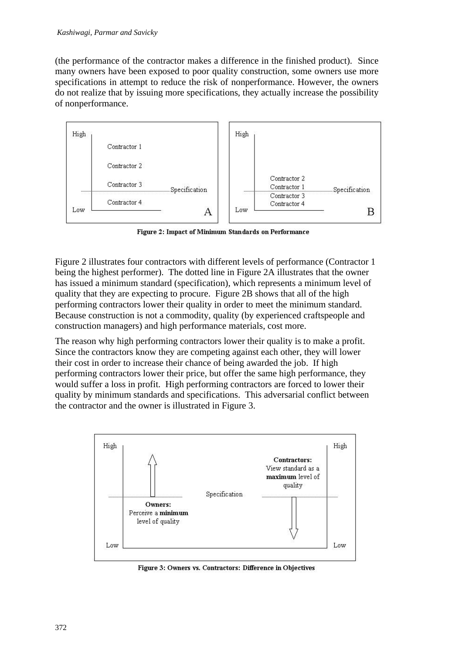(the performance of the contractor makes a difference in the finished product). Since many owners have been exposed to poor quality construction, some owners use more specifications in attempt to reduce the risk of nonperformance. However, the owners do not realize that by issuing more specifications, they actually increase the possibility of nonperformance.



Figure 2: Impact of Minimum Standards on Performance

Figure 2 illustrates four contractors with different levels of performance (Contractor 1 being the highest performer). The dotted line in Figure 2A illustrates that the owner has issued a minimum standard (specification), which represents a minimum level of quality that they are expecting to procure. Figure 2B shows that all of the high performing contractors lower their quality in order to meet the minimum standard. Because construction is not a commodity, quality (by experienced craftspeople and construction managers) and high performance materials, cost more.

The reason why high performing contractors lower their quality is to make a profit. Since the contractors know they are competing against each other, they will lower their cost in order to increase their chance of being awarded the job. If high performing contractors lower their price, but offer the same high performance, they would suffer a loss in profit. High performing contractors are forced to lower their quality by minimum standards and specifications. This adversarial conflict between the contractor and the owner is illustrated in Figure 3.



Figure 3: Owners vs. Contractors: Difference in Objectives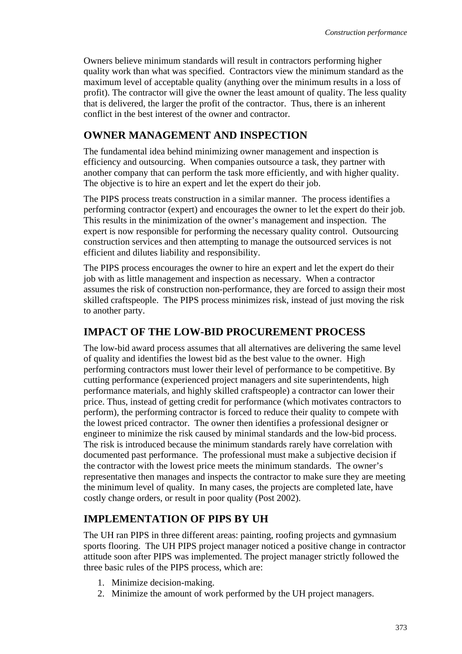Owners believe minimum standards will result in contractors performing higher quality work than what was specified. Contractors view the minimum standard as the maximum level of acceptable quality (anything over the minimum results in a loss of profit). The contractor will give the owner the least amount of quality. The less quality that is delivered, the larger the profit of the contractor. Thus, there is an inherent conflict in the best interest of the owner and contractor.

## **OWNER MANAGEMENT AND INSPECTION**

The fundamental idea behind minimizing owner management and inspection is efficiency and outsourcing. When companies outsource a task, they partner with another company that can perform the task more efficiently, and with higher quality. The objective is to hire an expert and let the expert do their job.

The PIPS process treats construction in a similar manner. The process identifies a performing contractor (expert) and encourages the owner to let the expert do their job. This results in the minimization of the owner's management and inspection. The expert is now responsible for performing the necessary quality control. Outsourcing construction services and then attempting to manage the outsourced services is not efficient and dilutes liability and responsibility.

The PIPS process encourages the owner to hire an expert and let the expert do their job with as little management and inspection as necessary. When a contractor assumes the risk of construction non-performance, they are forced to assign their most skilled craftspeople. The PIPS process minimizes risk, instead of just moving the risk to another party.

## **IMPACT OF THE LOW-BID PROCUREMENT PROCESS**

The low-bid award process assumes that all alternatives are delivering the same level of quality and identifies the lowest bid as the best value to the owner. High performing contractors must lower their level of performance to be competitive. By cutting performance (experienced project managers and site superintendents, high performance materials, and highly skilled craftspeople) a contractor can lower their price. Thus, instead of getting credit for performance (which motivates contractors to perform), the performing contractor is forced to reduce their quality to compete with the lowest priced contractor. The owner then identifies a professional designer or engineer to minimize the risk caused by minimal standards and the low-bid process. The risk is introduced because the minimum standards rarely have correlation with documented past performance. The professional must make a subjective decision if the contractor with the lowest price meets the minimum standards. The owner's representative then manages and inspects the contractor to make sure they are meeting the minimum level of quality. In many cases, the projects are completed late, have costly change orders, or result in poor quality (Post 2002).

## **IMPLEMENTATION OF PIPS BY UH**

The UH ran PIPS in three different areas: painting, roofing projects and gymnasium sports flooring. The UH PIPS project manager noticed a positive change in contractor attitude soon after PIPS was implemented. The project manager strictly followed the three basic rules of the PIPS process, which are:

- 1. Minimize decision-making.
- 2. Minimize the amount of work performed by the UH project managers.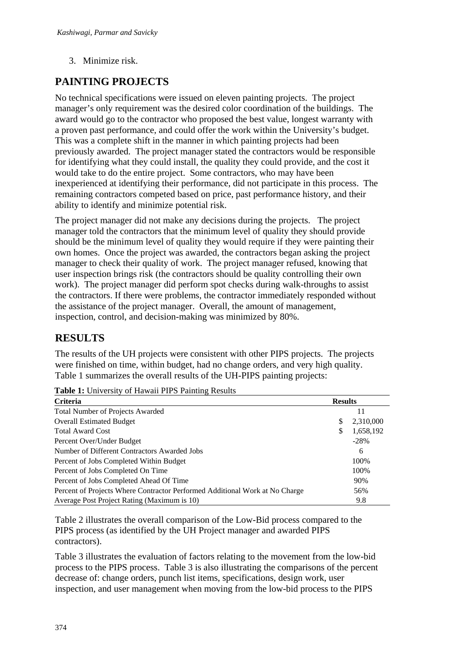3. Minimize risk.

## **PAINTING PROJECTS**

No technical specifications were issued on eleven painting projects. The project manager's only requirement was the desired color coordination of the buildings. The award would go to the contractor who proposed the best value, longest warranty with a proven past performance, and could offer the work within the University's budget. This was a complete shift in the manner in which painting projects had been previously awarded. The project manager stated the contractors would be responsible for identifying what they could install, the quality they could provide, and the cost it would take to do the entire project. Some contractors, who may have been inexperienced at identifying their performance, did not participate in this process. The remaining contractors competed based on price, past performance history, and their ability to identify and minimize potential risk.

The project manager did not make any decisions during the projects. The project manager told the contractors that the minimum level of quality they should provide should be the minimum level of quality they would require if they were painting their own homes. Once the project was awarded, the contractors began asking the project manager to check their quality of work. The project manager refused, knowing that user inspection brings risk (the contractors should be quality controlling their own work). The project manager did perform spot checks during walk-throughs to assist the contractors. If there were problems, the contractor immediately responded without the assistance of the project manager. Overall, the amount of management, inspection, control, and decision-making was minimized by 80%.

## **RESULTS**

The results of the UH projects were consistent with other PIPS projects. The projects were finished on time, within budget, had no change orders, and very high quality. Table 1 summarizes the overall results of the UH-PIPS painting projects:

| Criteria                                                                    |     | <b>Results</b> |  |
|-----------------------------------------------------------------------------|-----|----------------|--|
| <b>Total Number of Projects Awarded</b>                                     |     | 11             |  |
| <b>Overall Estimated Budget</b>                                             | S.  | 2,310,000      |  |
| <b>Total Award Cost</b>                                                     | \$. | 1,658,192      |  |
| Percent Over/Under Budget                                                   |     | $-28%$         |  |
| Number of Different Contractors Awarded Jobs                                |     | 6              |  |
| Percent of Jobs Completed Within Budget                                     |     | 100%           |  |
| Percent of Jobs Completed On Time                                           |     | 100%           |  |
| Percent of Jobs Completed Ahead Of Time                                     |     | 90%            |  |
| Percent of Projects Where Contractor Performed Additional Work at No Charge |     | 56%            |  |
| Average Post Project Rating (Maximum is 10)                                 |     | 9.8            |  |

**Table 1:** University of Hawaii PIPS Painting Results

Table 2 illustrates the overall comparison of the Low-Bid process compared to the PIPS process (as identified by the UH Project manager and awarded PIPS contractors).

Table 3 illustrates the evaluation of factors relating to the movement from the low-bid process to the PIPS process. Table 3 is also illustrating the comparisons of the percent decrease of: change orders, punch list items, specifications, design work, user inspection, and user management when moving from the low-bid process to the PIPS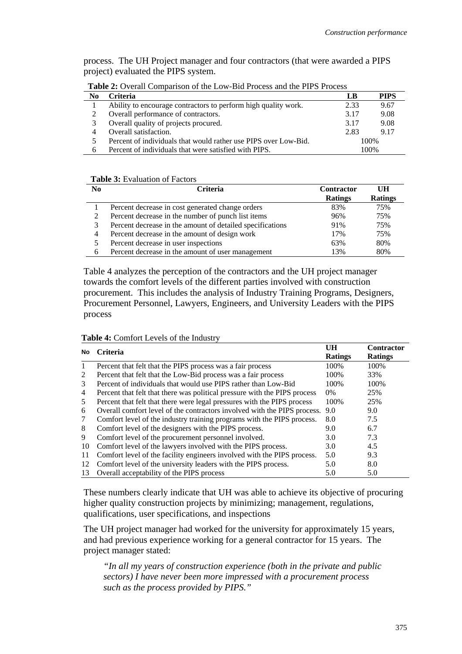process. The UH Project manager and four contractors (that were awarded a PIPS project) evaluated the PIPS system.

| No | Criteria                                                        | LB   | <b>PIPS</b> |
|----|-----------------------------------------------------------------|------|-------------|
|    | Ability to encourage contractors to perform high quality work.  | 2.33 | 9.67        |
|    | Overall performance of contractors.                             | 3.17 | 9.08        |
|    | Overall quality of projects procured.                           | 3.17 | 9.08        |
|    | Overall satisfaction.                                           | 2.83 | 9.17        |
|    | Percent of individuals that would rather use PIPS over Low-Bid. | 100% |             |
| 6  | Percent of individuals that were satisfied with PIPS.           | 100% |             |

**Table 2:** Overall Comparison of the Low-Bid Process and the PIPS Process

#### **Table 3:** Evaluation of Factors

| N <sub>0</sub> | <b>Criteria</b>                                           | <b>Contractor</b> | UH             |
|----------------|-----------------------------------------------------------|-------------------|----------------|
|                |                                                           | <b>Ratings</b>    | <b>Ratings</b> |
|                | Percent decrease in cost generated change orders          | 83%               | 75%            |
|                | Percent decrease in the number of punch list items        | 96%               | 75%            |
|                | Percent decrease in the amount of detailed specifications | 91%               | 75%            |
|                | Percent decrease in the amount of design work             | 17%               | 75%            |
|                | Percent decrease in user inspections                      | 63%               | 80%            |
| <sub>6</sub>   | Percent decrease in the amount of user management         | 13%               | 80%            |

Table 4 analyzes the perception of the contractors and the UH project manager towards the comfort levels of the different parties involved with construction procurement. This includes the analysis of Industry Training Programs, Designers, Procurement Personnel, Lawyers, Engineers, and University Leaders with the PIPS process

#### **Table 4:** Comfort Levels of the Industry

| No | <b>Criteria</b>                                                              | UH             | <b>Contractor</b> |
|----|------------------------------------------------------------------------------|----------------|-------------------|
|    |                                                                              | <b>Ratings</b> | <b>Ratings</b>    |
| 1  | Percent that felt that the PIPS process was a fair process                   | 100\%          | 100\%             |
| 2  | Percent that felt that the Low-Bid process was a fair process                | 100%           | 33%               |
| 3  | Percent of individuals that would use PIPS rather than Low-Bid               | 100\%          | 100\%             |
| 4  | Percent that felt that there was political pressure with the PIPS process    | $0\%$          | 25%               |
| 5  | Percent that felt that there were legal pressures with the PIPS process      | 100\%          | 25%               |
| 6  | Overall comfort level of the contractors involved with the PIPS process. 9.0 |                | 9.0               |
| 7  | Comfort level of the industry training programs with the PIPS process.       | 8.0            | 7.5               |
| 8  | Comfort level of the designers with the PIPS process.                        | 9.0            | 6.7               |
| 9  | Comfort level of the procurement personnel involved.                         | 3.0            | 7.3               |
| 10 | Comfort level of the lawyers involved with the PIPS process.                 | 3.0            | 4.5               |
| 11 | Comfort level of the facility engineers involved with the PIPS process.      | 5.0            | 9.3               |
| 12 | Comfort level of the university leaders with the PIPS process.               | 5.0            | 8.0               |
| 13 | Overall acceptability of the PIPS process                                    | 5.0            | 5.0               |

These numbers clearly indicate that UH was able to achieve its objective of procuring higher quality construction projects by minimizing; management, regulations, qualifications, user specifications, and inspections

The UH project manager had worked for the university for approximately 15 years, and had previous experience working for a general contractor for 15 years. The project manager stated:

*"In all my years of construction experience (both in the private and public sectors) I have never been more impressed with a procurement process such as the process provided by PIPS."*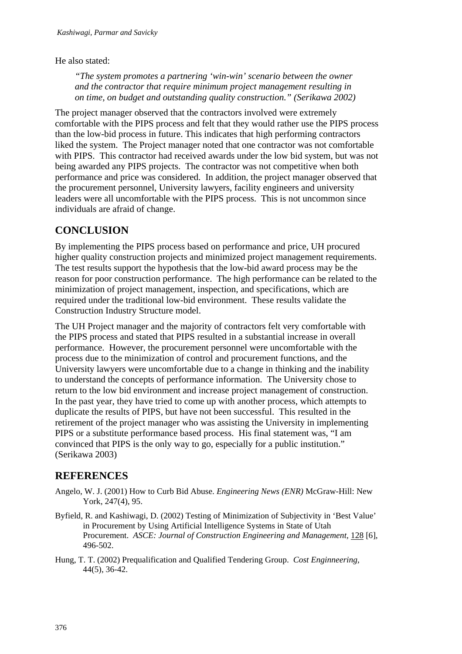#### He also stated:

*"The system promotes a partnering 'win-win' scenario between the owner and the contractor that require minimum project management resulting in on time, on budget and outstanding quality construction." (Serikawa 2002)* 

The project manager observed that the contractors involved were extremely comfortable with the PIPS process and felt that they would rather use the PIPS process than the low-bid process in future. This indicates that high performing contractors liked the system. The Project manager noted that one contractor was not comfortable with PIPS. This contractor had received awards under the low bid system, but was not being awarded any PIPS projects. The contractor was not competitive when both performance and price was considered. In addition, the project manager observed that the procurement personnel, University lawyers, facility engineers and university leaders were all uncomfortable with the PIPS process. This is not uncommon since individuals are afraid of change.

## **CONCLUSION**

By implementing the PIPS process based on performance and price, UH procured higher quality construction projects and minimized project management requirements. The test results support the hypothesis that the low-bid award process may be the reason for poor construction performance. The high performance can be related to the minimization of project management, inspection, and specifications, which are required under the traditional low-bid environment. These results validate the Construction Industry Structure model.

The UH Project manager and the majority of contractors felt very comfortable with the PIPS process and stated that PIPS resulted in a substantial increase in overall performance. However, the procurement personnel were uncomfortable with the process due to the minimization of control and procurement functions, and the University lawyers were uncomfortable due to a change in thinking and the inability to understand the concepts of performance information. The University chose to return to the low bid environment and increase project management of construction. In the past year, they have tried to come up with another process, which attempts to duplicate the results of PIPS, but have not been successful. This resulted in the retirement of the project manager who was assisting the University in implementing PIPS or a substitute performance based process. His final statement was, "I am convinced that PIPS is the only way to go, especially for a public institution." (Serikawa 2003)

## **REFERENCES**

- Angelo, W. J. (2001) How to Curb Bid Abuse. *Engineering News (ENR)* McGraw-Hill: New York, 247(4), 95.
- Byfield, R. and Kashiwagi, D. (2002) Testing of Minimization of Subjectivity in 'Best Value' in Procurement by Using Artificial Intelligence Systems in State of Utah Procurement. *ASCE: Journal of Construction Engineering and Management*, 128 [6], 496-502.
- Hung, T. T. (2002) Prequalification and Qualified Tendering Group. *Cost Enginneering,* 44(5), 36-42.